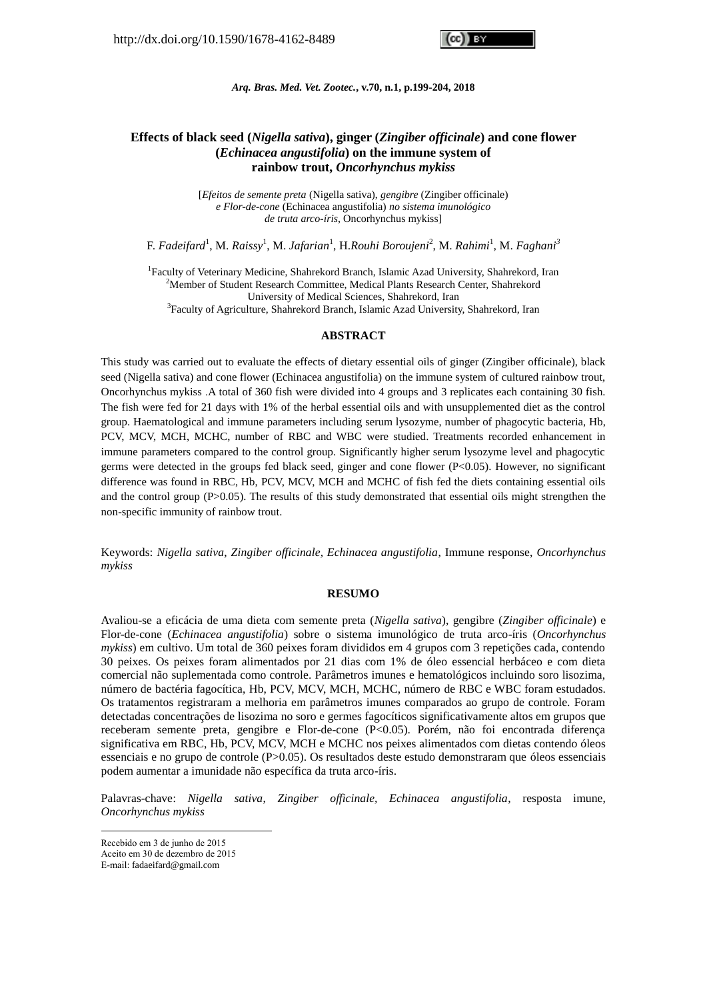*Arq. Bras. Med. Vet. Zootec.***, v.70, n.1, p.199-204, 2018**

# **Effects of black seed (***Nigella sativa***), ginger (***Zingiber officinale***) and cone flower (***Echinacea angustifolia***) on the immune system of rainbow trout,** *Oncorhynchus mykiss*

[*Efeitos de semente preta* (Nigella sativa), *gengibre* (Zingiber officinale) *e Flor-de-cone* (Echinacea angustifolia) *no sistema imunológico de truta arco-íris,* Oncorhynchus mykiss]

F. *Fadeifard*<sup>1</sup> , M. *Raissy*<sup>1</sup> , M. *Jafarian*<sup>1</sup> , H.*Rouhi Boroujeni*<sup>2</sup> , M. *Rahimi*<sup>1</sup> , M. *Faghani<sup>3</sup>*

<sup>1</sup>Faculty of Veterinary Medicine, Shahrekord Branch, Islamic Azad University, Shahrekord, Iran <sup>2</sup>Member of Student Research Committee, Medical Plants Research Center, Shahrekord University of Medical Sciences, Shahrekord, Iran <sup>3</sup>Faculty of Agriculture, Shahrekord Branch, Islamic Azad University, Shahrekord, Iran

#### **ABSTRACT**

This study was carried out to evaluate the effects of dietary essential oils of ginger (Zingiber officinale), black seed (Nigella sativa) and cone flower (Echinacea angustifolia) on the immune system of cultured rainbow trout, Oncorhynchus mykiss .A total of 360 fish were divided into 4 groups and 3 replicates each containing 30 fish. The fish were fed for 21 days with 1% of the herbal essential oils and with unsupplemented diet as the control group. Haematological and immune parameters including serum lysozyme, number of phagocytic bacteria, Hb, PCV, MCV, MCH, MCHC, number of RBC and WBC were studied. Treatments recorded enhancement in immune parameters compared to the control group. Significantly higher serum lysozyme level and phagocytic germs were detected in the groups fed black seed, ginger and cone flower  $(P< 0.05)$ . However, no significant difference was found in RBC, Hb, PCV, MCV, MCH and MCHC of fish fed the diets containing essential oils and the control group (P>0.05). The results of this study demonstrated that essential oils might strengthen the non-specific immunity of rainbow trout.

Keywords: *Nigella sativa*, *Zingiber officinale, Echinacea angustifolia*, Immune response, *Oncorhynchus mykiss*

#### **RESUMO**

Avaliou-se a eficácia de uma dieta com semente preta (*Nigella sativa*), gengibre (*Zingiber officinale*) e Flor-de-cone (*Echinacea angustifolia*) sobre o sistema imunológico de truta arco-íris (*Oncorhynchus mykiss*) em cultivo. Um total de 360 peixes foram divididos em 4 grupos com 3 repetições cada, contendo 30 peixes. Os peixes foram alimentados por 21 dias com 1% de óleo essencial herbáceo e com dieta comercial não suplementada como controle. Parâmetros imunes e hematológicos incluindo soro lisozima, número de bactéria fagocítica, Hb, PCV, MCV, MCH, MCHC, número de RBC e WBC foram estudados. Os tratamentos registraram a melhoria em parâmetros imunes comparados ao grupo de controle. Foram detectadas concentrações de lisozima no soro e germes fagocíticos significativamente altos em grupos que receberam semente preta, gengibre e Flor-de-cone (P<0.05). Porém, não foi encontrada diferença significativa em RBC, Hb, PCV, MCV, MCH e MCHC nos peixes alimentados com dietas contendo óleos essenciais e no grupo de controle (P>0.05). Os resultados deste estudo demonstraram que óleos essenciais podem aumentar a imunidade não específica da truta arco-íris.

Palavras-chave: *Nigella sativa*, *Zingiber officinale, Echinacea angustifolia*, resposta imune, *Oncorhynchus mykiss*

1

Recebido em 3 de junho de 2015

Aceito em 30 de dezembro de 2015

E-mail: fadaeifard@gmail.com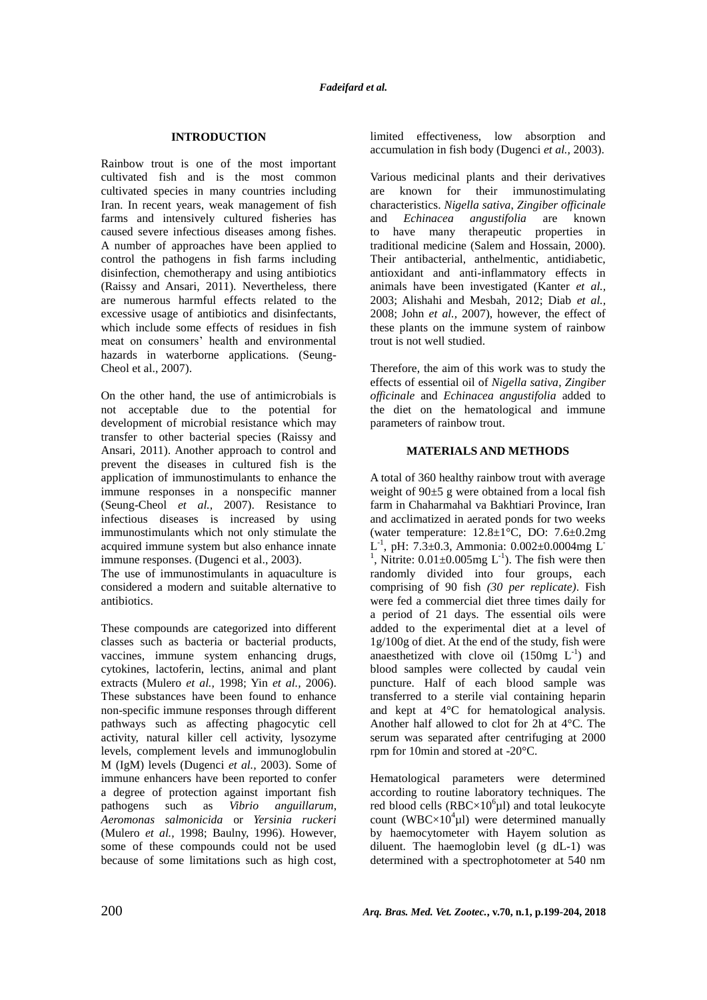# **INTRODUCTION**

Rainbow trout is one of the most important cultivated fish and is the most common cultivated species in many countries including Iran. In recent years, weak management of fish farms and intensively cultured fisheries has caused severe infectious diseases among fishes. A number of approaches have been applied to control the pathogens in fish farms including disinfection, chemotherapy and using antibiotics (Raissy and Ansari, 2011). Nevertheless, there are numerous harmful effects related to the excessive usage of antibiotics and disinfectants, which include some effects of residues in fish meat on consumers' health and environmental hazards in waterborne applications. (Seung-Cheol et al., 2007).

On the other hand, the use of antimicrobials is not acceptable due to the potential for development of microbial resistance which may transfer to other bacterial species (Raissy and Ansari, 2011). Another approach to control and prevent the diseases in cultured fish is the application of immunostimulants to enhance the immune responses in a nonspecific manner (Seung-Cheol *et al.,* 2007). Resistance to infectious diseases is increased by using immunostimulants which not only stimulate the acquired immune system but also enhance innate immune responses. (Dugenci et al., 2003).

The use of immunostimulants in aquaculture is considered a modern and suitable alternative to antibiotics.

These compounds are categorized into different classes such as bacteria or bacterial products, vaccines, immune system enhancing drugs, cytokines, lactoferin, lectins, animal and plant extracts (Mulero *et al.,* 1998; Yin *et al.,* 2006). These substances have been found to enhance non-specific immune responses through different pathways such as affecting phagocytic cell activity, natural killer cell activity, lysozyme levels, complement levels and immunoglobulin M (IgM) levels (Dugenci *et al.,* 2003). Some of immune enhancers have been reported to confer a degree of protection against important fish pathogens such as *Vibrio anguillarum*, *Aeromonas salmonicida* or *Yersinia ruckeri* (Mulero *et al.,* 1998; Baulny, 1996). However, some of these compounds could not be used because of some limitations such as high cost, limited effectiveness, low absorption and accumulation in fish body (Dugenci *et al.,* 2003).

Various medicinal plants and their derivatives are known for their immunostimulating characteristics. *Nigella sativa*, *Zingiber officinale*  and *Echinacea angustifolia* are known to have many therapeutic properties in traditional medicine (Salem and Hossain, 2000). Their antibacterial, anthelmentic, antidiabetic, antioxidant and anti-inflammatory effects in animals have been investigated (Kanter *et al.,*  2003; Alishahi and Mesbah, 2012; Diab *et al.,*  2008; John *et al.,* 2007), however, the effect of these plants on the immune system of rainbow trout is not well studied.

Therefore, the aim of this work was to study the effects of essential oil of *Nigella sativa*, *Zingiber officinale* and *Echinacea angustifolia* added to the diet on the hematological and immune parameters of rainbow trout.

### **MATERIALS AND METHODS**

A total of 360 healthy rainbow trout with average weight of 90±5 g were obtained from a local fish farm in Chaharmahal va Bakhtiari Province, Iran and acclimatized in aerated ponds for two weeks (water temperature:  $12.8 \pm 1\degree$ C, DO:  $7.6 \pm 0.2$ mg L<sup>-1</sup>, pH: 7.3 $\pm$ 0.3, Ammonia: 0.002 $\pm$ 0.0004mg L<sup>-</sup> <sup>1</sup>, Nitrite:  $0.01 \pm 0.005$  mg L<sup>-1</sup>). The fish were then randomly divided into four groups, each comprising of 90 fish *(30 per replicate)*. Fish were fed a commercial diet three times daily for a period of 21 days. The essential oils were added to the experimental diet at a level of 1g/100g of diet. At the end of the study, fish were anaesthetized with clove oil  $(150mg L<sup>-1</sup>)$  and blood samples were collected by caudal vein puncture. Half of each blood sample was transferred to a sterile vial containing heparin and kept at 4°C for hematological analysis. Another half allowed to clot for 2h at 4°C. The serum was separated after centrifuging at 2000 rpm for 10min and stored at -20°C.

Hematological parameters were determined according to routine laboratory techniques. The red blood cells  $(RBC \times 10^6 \mu l)$  and total leukocyte count (WBC $\times$ 10<sup>4</sup> $\mu$ l) were determined manually by haemocytometer with Hayem solution as diluent. The haemoglobin level (g dL-1) was determined with a spectrophotometer at 540 nm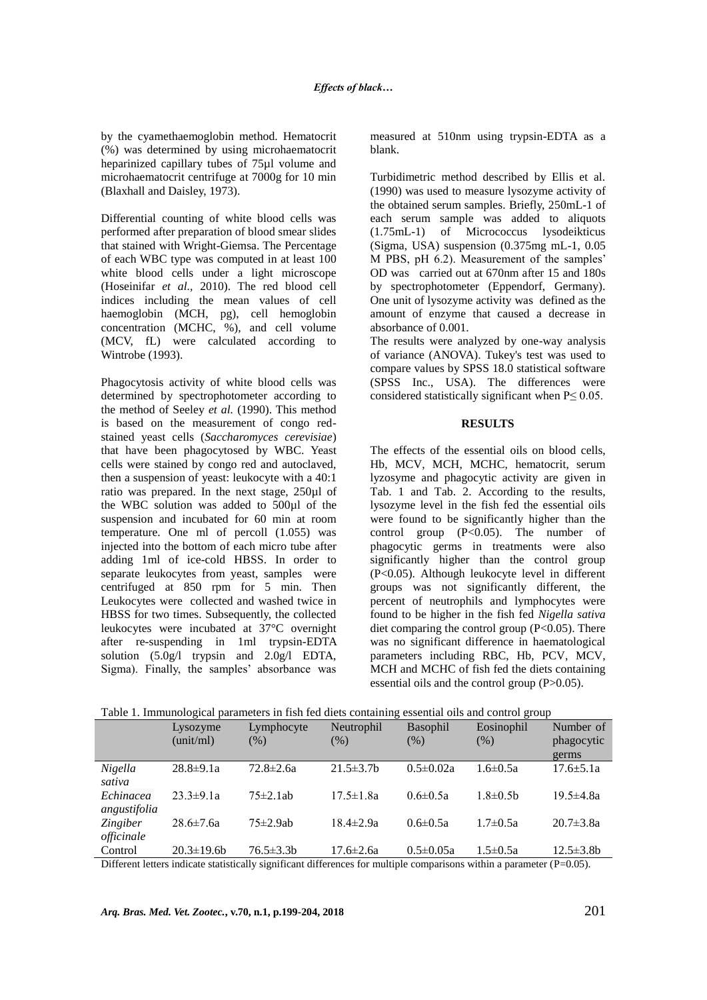by the cyamethaemoglobin method. Hematocrit (%) was determined by using microhaematocrit heparinized capillary tubes of 75µl volume and microhaematocrit centrifuge at 7000g for 10 min (Blaxhall and Daisley, 1973).

Differential counting of white blood cells was performed after preparation of blood smear slides that stained with Wright-Giemsa. The Percentage of each WBC type was computed in at least 100 white blood cells under a light microscope (Hoseinifar *et al.,* 2010). The red blood cell indices including the mean values of cell haemoglobin (MCH, pg), cell hemoglobin concentration (MCHC, %), and cell volume (MCV, fL) were calculated according to Wintrobe (1993).

Phagocytosis activity of white blood cells was determined by spectrophotometer according to the method of Seeley *et al.* (1990). This method is based on the measurement of congo redstained yeast cells (*Saccharomyces cerevisiae*) that have been phagocytosed by WBC. Yeast cells were stained by congo red and autoclaved, then a suspension of yeast: leukocyte with a 40:1 ratio was prepared. In the next stage, 250µl of the WBC solution was added to 500µl of the suspension and incubated for 60 min at room temperature. One ml of percoll (1.055) was injected into the bottom of each micro tube after adding 1ml of ice-cold HBSS. In order to separate leukocytes from yeast, samples were centrifuged at 850 rpm for 5 min. Then Leukocytes were collected and washed twice in HBSS for two times. Subsequently, the collected leukocytes were incubated at 37°C overnight after re-suspending in 1ml trypsin-EDTA solution (5.0g/l trypsin and 2.0g/l EDTA, Sigma). Finally, the samples' absorbance was measured at 510nm using trypsin-EDTA as a blank.

Turbidimetric method described by Ellis et al. (1990) was used to measure lysozyme activity of the obtained serum samples. Briefly, 250mL-1 of each serum sample was added to aliquots (1.75mL-1) of Micrococcus lysodeikticus (Sigma, USA) suspension (0.375mg mL-1, 0.05 M PBS, pH 6.2). Measurement of the samples' OD was carried out at 670nm after 15 and 180s by spectrophotometer (Eppendorf, Germany). One unit of lysozyme activity was defined as the amount of enzyme that caused a decrease in absorbance of 0.001.

The results were analyzed by one-way analysis of variance (ANOVA). Tukey's test was used to compare values by SPSS 18.0 statistical software (SPSS Inc., USA). The differences were considered statistically significant when  $P \le 0.05$ .

### **RESULTS**

The effects of the essential oils on blood cells, Hb, MCV, MCH, MCHC, hematocrit, serum lyzosyme and phagocytic activity are given in Tab. 1 and Tab. 2. According to the results, lysozyme level in the fish fed the essential oils were found to be significantly higher than the control group  $(P<0.05)$ . The number of phagocytic germs in treatments were also significantly higher than the control group (P<0.05). Although leukocyte level in different groups was not significantly different, the percent of neutrophils and lymphocytes were found to be higher in the fish fed *Nigella sativa* diet comparing the control group  $(P<0.05)$ . There was no significant difference in haematological parameters including RBC, Hb, PCV, MCV, MCH and MCHC of fish fed the diets containing essential oils and the control group (P>0.05).

|                               | Lysozyme<br>(unit/ml) | Lymphocyte<br>(% ) | Neutrophil<br>(% ) | Basophil<br>(% ) | Eosinophil<br>(% ) | Number of<br>phagocytic |
|-------------------------------|-----------------------|--------------------|--------------------|------------------|--------------------|-------------------------|
|                               |                       |                    |                    |                  |                    | germs                   |
| <i>Nigella</i><br>sativa      | $28.8 \pm 9.1a$       | $72.8 \pm 2.6a$    | $21.5 \pm 3.7$     | $0.5 \pm 0.02a$  | $1.6 \pm 0.5a$     | $17.6 \pm 5.1a$         |
| Echinacea<br>angustifolia     | $23.3 \pm 9.1a$       | $75 \pm 2.1$ ab    | $17.5 \pm 1.8a$    | $0.6 \pm 0.5a$   | $1.8 \pm 0.5$ b    | $19.5 \pm 4.8a$         |
| <i>Zingiber</i><br>officinale | $28.6 \pm 7.6a$       | $75 \pm 2.9$ ab    | $18.4 \pm 2.9a$    | $0.6 \pm 0.5a$   | $1.7 \pm 0.5a$     | $20.7 \pm 3.8a$         |
| Control                       | $20.3 \pm 19.6 b$     | $76.5 \pm 3.3 b$   | $17.6 \pm 2.6a$    | $0.5 \pm 0.05a$  | $1.5 \pm 0.5a$     | $12.5 \pm 3.8b$         |

| Table 1. Immunological parameters in fish fed diets containing essential oils and control group |  |
|-------------------------------------------------------------------------------------------------|--|
|                                                                                                 |  |

Different letters indicate statistically significant differences for multiple comparisons within a parameter (P=0.05).

*Arq. Bras. Med. Vet. Zootec.***, v.70, n.1, p.199-204, 2018** 201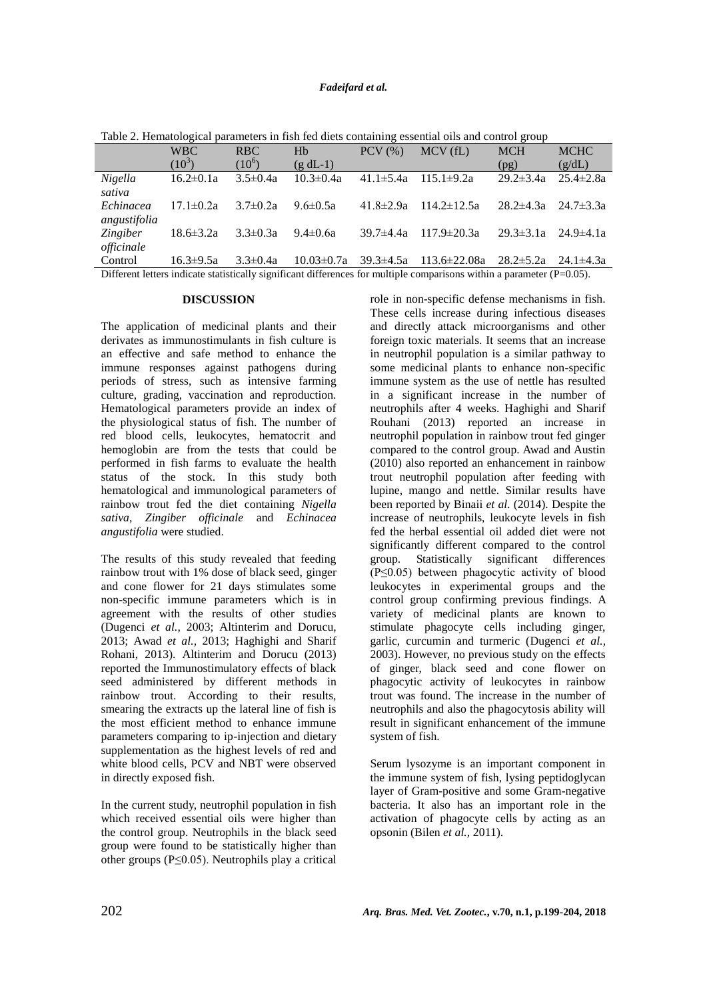## *Fadeifard et al.*

|                 | <b>WBC</b>      | <b>RBC</b>     | Hb               | $PCV$ $(\% )$   | MCV(fL)                            | <b>MCH</b>      | <b>MCHC</b>                     |
|-----------------|-----------------|----------------|------------------|-----------------|------------------------------------|-----------------|---------------------------------|
|                 | $(10^{3})$      | $(10^6)$       | $(g dL-1)$       |                 |                                    | (pg)            | (g/dL)                          |
| Nigella         | $16.2 \pm 0.1a$ | $3.5 \pm 0.4a$ | $10.3 \pm 0.4a$  | $41.1 \pm 5.4a$ | $115.1\pm9.2a$                     | $29.2 \pm 3.4a$ | $25.4 \pm 2.8a$                 |
| sativa          |                 |                |                  |                 |                                    |                 |                                 |
| Echinacea       | $17.1 \pm 0.2a$ | $3.7\pm0.2a$   | $9.6 \pm 0.5a$   | 41.8±2.9a       | $114.2 \pm 12.5a$                  |                 | $28.2 \pm 4.3a$ $24.7 \pm 3.3a$ |
| angustifolia    |                 |                |                  |                 |                                    |                 |                                 |
| <i>Zingiber</i> | $18.6 \pm 3.2a$ | $3.3 \pm 0.3a$ | $9.4 \pm 0.6a$   | $39.7 \pm 4.4a$ | $117.9 \pm 20.3a$                  |                 | $29.3 \pm 3.1a$ $24.9 \pm 4.1a$ |
| officinale      |                 |                |                  |                 |                                    |                 |                                 |
| Control         | $16.3 \pm 9.5a$ | $3.3 \pm 0.4a$ | $10.03 \pm 0.7a$ |                 | $39.3 \pm 4.5a$ $113.6 \pm 22.08a$ | $28.2 \pm 5.2a$ | 24.1 $\pm$ 4.3a                 |
|                 |                 |                |                  |                 |                                    |                 |                                 |

Table 2. Hematological parameters in fish fed diets containing essential oils and control group

Different letters indicate statistically significant differences for multiple comparisons within a parameter (P=0.05).

#### **DISCUSSION**

The application of medicinal plants and their derivates as immunostimulants in fish culture is an effective and safe method to enhance the immune responses against pathogens during periods of stress, such as intensive farming culture, grading, vaccination and reproduction. Hematological parameters provide an index of the physiological status of fish. The number of red blood cells, leukocytes, hematocrit and hemoglobin are from the tests that could be performed in fish farms to evaluate the health status of the stock. In this study both hematological and immunological parameters of rainbow trout fed the diet containing *Nigella sativa*, *Zingiber officinale* and *Echinacea angustifolia* were studied.

The results of this study revealed that feeding rainbow trout with 1% dose of black seed, ginger and cone flower for 21 days stimulates some non-specific immune parameters which is in agreement with the results of other studies (Dugenci *et al.,* 2003; Altinterim and Dorucu, 2013; Awad *et al.,* 2013; Haghighi and Sharif Rohani, 2013). Altinterim and Dorucu (2013) reported the Immunostimulatory effects of black seed administered by different methods in rainbow trout. According to their results, smearing the extracts up the lateral line of fish is the most efficient method to enhance immune parameters comparing to ip-injection and dietary supplementation as the highest levels of red and white blood cells, PCV and NBT were observed in directly exposed fish.

In the current study, neutrophil population in fish which received essential oils were higher than the control group. Neutrophils in the black seed group were found to be statistically higher than other groups ( $P \le 0.05$ ). Neutrophils play a critical role in non-specific defense mechanisms in fish. These cells increase during infectious diseases and directly attack microorganisms and other foreign toxic materials. It seems that an increase in neutrophil population is a similar pathway to some medicinal plants to enhance non-specific immune system as the use of nettle has resulted in a significant increase in the number of neutrophils after 4 weeks. Haghighi and Sharif Rouhani (2013) reported an increase in neutrophil population in rainbow trout fed ginger compared to the control group. Awad and Austin (2010) also reported an enhancement in rainbow trout neutrophil population after feeding with lupine, mango and nettle. Similar results have been reported by Binaii *et al.* (2014). Despite the increase of neutrophils, leukocyte levels in fish fed the herbal essential oil added diet were not significantly different compared to the control group. Statistically significant differences (P≤0.05) between phagocytic activity of blood leukocytes in experimental groups and the control group confirming previous findings. A variety of medicinal plants are known to stimulate phagocyte cells including ginger, garlic, curcumin and turmeric (Dugenci *et al.,* 2003). However, no previous study on the effects of ginger, black seed and cone flower on phagocytic activity of leukocytes in rainbow trout was found. The increase in the number of neutrophils and also the phagocytosis ability will result in significant enhancement of the immune system of fish.

Serum lysozyme is an important component in the immune system of fish, lysing peptidoglycan layer of Gram-positive and some Gram-negative bacteria. It also has an important role in the activation of phagocyte cells by acting as an opsonin (Bilen *et al.,* 2011).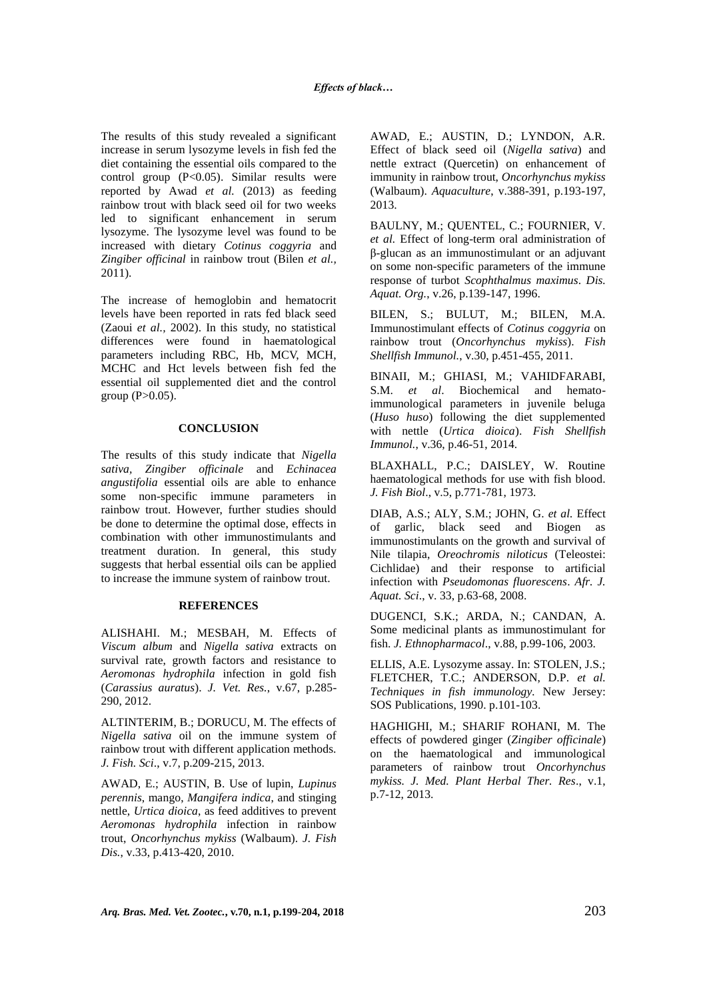The results of this study revealed a significant increase in serum lysozyme levels in fish fed the diet containing the essential oils compared to the control group (P<0.05). Similar results were reported by Awad *et al.* (2013) as feeding rainbow trout with black seed oil for two weeks led to significant enhancement in serum lysozyme. The lysozyme level was found to be increased with dietary *Cotinus coggyria* and *Zingiber officinal* in rainbow trout (Bilen *et al.,* 2011).

The increase of hemoglobin and hematocrit levels have been reported in rats fed black seed (Zaoui *et al.,* 2002). In this study, no statistical differences were found in haematological parameters including RBC, Hb, MCV, MCH, MCHC and Hct levels between fish fed the essential oil supplemented diet and the control group  $(P>0.05)$ .

## **CONCLUSION**

The results of this study indicate that *Nigella sativa, Zingiber officinale* and *Echinacea angustifolia* essential oils are able to enhance some non-specific immune parameters in rainbow trout. However, further studies should be done to determine the optimal dose, effects in combination with other immunostimulants and treatment duration. In general, this study suggests that herbal essential oils can be applied to increase the immune system of rainbow trout.

#### **REFERENCES**

ALISHAHI. M.; MESBAH, M. Effects of *Viscum album* and *Nigella sativa* extracts on survival rate, growth factors and resistance to *Aeromonas hydrophila* infection in gold fish (*Carassius auratus*). *J. Vet. Res.*, v.67, p.285- 290, 2012.

ALTINTERIM, B.; DORUCU, M. The effects of *Nigella sativa* oil on the immune system of rainbow trout with different application methods. *J. Fish. Sci*., v.7, p.209-215, 2013.

AWAD, E.; AUSTIN, B. Use of lupin, *Lupinus perennis*, mango, *Mangifera indica*, and stinging nettle, *Urtica dioica*, as feed additives to prevent *Aeromonas hydrophila* infection in rainbow trout, *Oncorhynchus mykiss* (Walbaum). *J. Fish Dis.*, v.33, p.413-420, 2010.

AWAD, E.; AUSTIN, D.; LYNDON, A.R. Effect of black seed oil (*Nigella sativa*) and nettle extract (Quercetin) on enhancement of immunity in rainbow trout, *Oncorhynchus mykiss* (Walbaum). *Aquaculture*, v.388-391, p.193-197, 2013.

BAULNY, M.; QUENTEL, C.; FOURNIER, V. *et al.* Effect of long-term oral administration of β-glucan as an immunostimulant or an adjuvant on some non-specific parameters of the immune response of turbot *Scophthalmus maximus*. *Dis. Aquat. Org.*, v.26, p.139-147, 1996.

BILEN, S.; BULUT, M.; BILEN, M.A. Immunostimulant effects of *Cotinus coggyria* on rainbow trout (*Oncorhynchus mykiss*). *Fish Shellfish Immunol.*, v.30, p.451-455, 2011.

BINAII, M.; GHIASI, M.; VAHIDFARABI, S.M. *et al*. Biochemical and hematoimmunological parameters in juvenile beluga (*Huso huso*) following the diet supplemented with nettle (*Urtica dioica*). *Fish Shellfish Immunol.*, v.36, p.46-51, 2014.

BLAXHALL, P.C.; DAISLEY, W. Routine haematological methods for use with fish blood. *J. Fish Biol*., v.5, p.771-781, 1973.

DIAB, A.S.; ALY, S.M.; JOHN, G. *et al.* Effect of garlic, black seed and Biogen as immunostimulants on the growth and survival of Nile tilapia, *Oreochromis niloticus* (Teleostei: Cichlidae) and their response to artificial infection with *Pseudomonas fluorescens*. *Afr. J. Aquat. Sci*., v. 33, p.63-68, 2008.

DUGENCI, S.K.; ARDA, N.; CANDAN, A. Some medicinal plants as immunostimulant for fish. *J. Ethnopharmacol*., v.88, p.99-106, 2003.

ELLIS, A.E. Lysozyme assay. In: STOLEN, J.S.; FLETCHER, T.C.; ANDERSON, D.P. *et al. Techniques in fish immunology.* New Jersey: SOS Publications, 1990. p.101-103.

HAGHIGHI, M.; SHARIF ROHANI, M. The effects of powdered ginger (*Zingiber officinale*) on the haematological and immunological parameters of rainbow trout *Oncorhynchus mykiss. J. Med. Plant Herbal Ther. Res*., v.1, p.7-12, 2013.